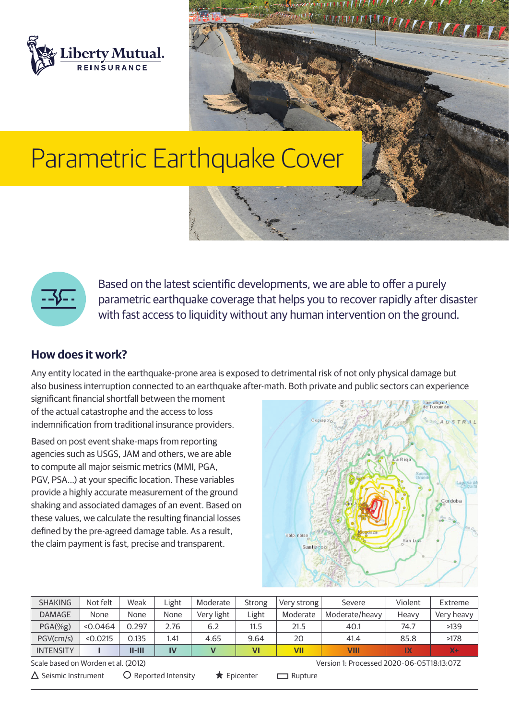

# Parametric Earthquake Cover



Based on the latest scientific developments, we are able to offer a purely parametric earthquake coverage that helps you to recover rapidly after disaster with fast access to liquidity without any human intervention on the ground.

## **How does it work?**

Any entity located in the earthquake-prone area is exposed to detrimental risk of not only physical damage but also business interruption connected to an earthquake after-math. Both private and public sectors can experience

significant financial shortfall between the moment of the actual catastrophe and the access to loss indemnification from traditional insurance providers.

Based on post event shake-maps from reporting agencies such as USGS, JAM and others, we are able to compute all major seismic metrics (MMI, PGA, PGV, PSA…) at your specific location. These variables provide a highly accurate measurement of the ground shaking and associated damages of an event. Based on these values, we calculate the resulting financial losses defined by the pre-agreed damage table. As a result, the claim payment is fast, precise and transparent.



**WINDOWS ATTICATION** 

| <b>SHAKING</b>                                                                   | Not felt | Weak     | Light                                                 | Moderate   | <b>Strong</b> | Very strong    | Severe         | Violent | Extreme    |
|----------------------------------------------------------------------------------|----------|----------|-------------------------------------------------------|------------|---------------|----------------|----------------|---------|------------|
| <b>DAMAGE</b>                                                                    | None     | None     | None                                                  | Very light | Light         | Moderate       | Moderate/heavy | Heavy   | Very heavy |
| $PGA(\%g)$                                                                       | < 0.0464 | 0.297    | 2.76                                                  | 6.2        | 11.5          | 21.5           | 40.1           | 74.7    | >139       |
| PGV(cm/s)                                                                        | < 0.0215 | 0.135    | l.41                                                  | 4.65       | 9.64          | 20             | 41.4           | 85.8    | >178       |
| <b>INTENSITY</b>                                                                 |          | $II-HII$ | IV                                                    | V          | VI            | <b>VII</b>     | VIII           | IX      | $X +$      |
| Scale based on Worden et al. (2012)<br>Version 1: Processed 2020-06-05T18:13:07Z |          |          |                                                       |            |               |                |                |         |            |
| $\Delta$ Seismic Instrument                                                      |          |          | $\bigcirc$ Reported Intensity<br>$\bigstar$ Epicenter |            |               | $\Box$ Rupture |                |         |            |